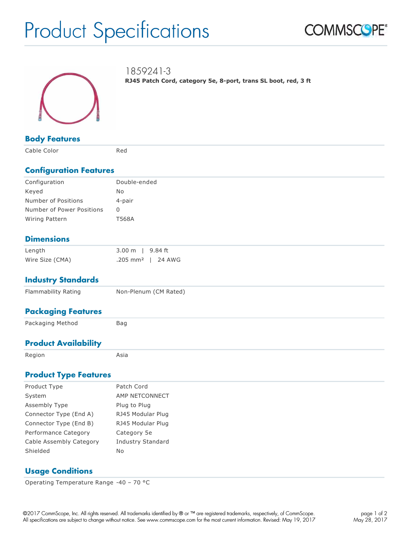# Product Specifications





1859241-3 **RJ45 Patch Cord, category 5e, 8-port, trans SL boot, red, 3 ft**

**Body Features** 

Cable Color **Red** 

#### **Configuration Features**

| Configuration             | Double-ended |
|---------------------------|--------------|
| Keyed                     | No.          |
| Number of Positions       | 4-pair       |
| Number of Power Positions | 0            |
| Wiring Pattern            | T568A        |
|                           |              |

## **Dimensions**

| Length          | 3.00 m   9.84 ft                |  |
|-----------------|---------------------------------|--|
| Wire Size (CMA) | $.205$ mm <sup>2</sup>   24 AWG |  |

### **Industry Standards**

| Flammability Rating         | Non-Plenum (CM Rated) |
|-----------------------------|-----------------------|
| <b>Packaging Features</b>   |                       |
| Packaging Method            | Bag                   |
| <b>Product Availability</b> |                       |
| Region                      | Asia                  |

## **Product Type Features**

| Product Type            | Patch Cord        |
|-------------------------|-------------------|
| System                  | AMP NETCONNECT    |
| Assembly Type           | Plug to Plug      |
| Connector Type (End A)  | RJ45 Modular Plug |
| Connector Type (End B)  | RJ45 Modular Plug |
| Performance Category    | Category 5e       |
| Cable Assembly Category | Industry Standard |
| Shielded                | No                |
|                         |                   |

### **Usage Conditions**

Operating Temperature Range -40 – 70 °C